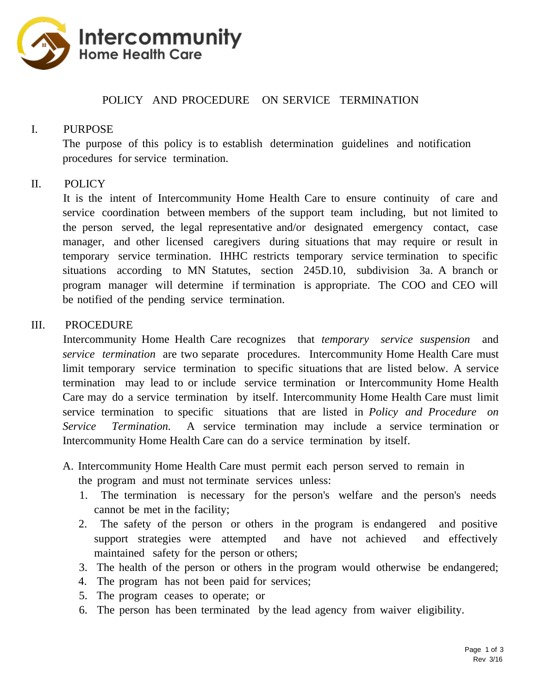

## POLICY AND PROCEDURE ON SERVICE TERMINATION

### I. PURPOSE

The purpose of this policy is to establish determination guidelines and notification procedures for service termination.

#### II. POLICY

It is the intent of Intercommunity Home Health Care to ensure continuity of care and service coordination between members of the support team including, but not limited to the person served, the legal representative and/or designated emergency contact, case manager, and other licensed caregivers during situations that may require or result in temporary service termination. IHHC restricts temporary service termination to specific situations according to MN Statutes, section 245D.10, subdivision 3a. A branch or program manager will determine if termination is appropriate. The COO and CEO will be notified of the pending service termination.

#### III. PROCEDURE

Intercommunity Home Health Care recognizes that *temporary service suspension* and *service termination* are two separate procedures. Intercommunity Home Health Care must limit temporary service termination to specific situations that are listed below. A service termination may lead to or include service termination or Intercommunity Home Health Care may do a service termination by itself. Intercommunity Home Health Care must limit service termination to specific situations that are listed in *Policy and Procedure on Service Termination.* A service termination may include a service termination or Intercommunity Home Health Care can do a service termination by itself.

- A. Intercommunity Home Health Care must permit each person served to remain in the program and must not terminate services unless:
	- 1. The termination is necessary for the person's welfare and the person's needs cannot be met in the facility;
	- 2. The safety of the person or others in the program is endangered and positive support strategies were attempted and have not achieved and effectively maintained safety for the person or others;
	- 3. The health of the person or others in the program would otherwise be endangered;
	- 4. The program has not been paid for services;
	- 5. The program ceases to operate; or
	- 6. The person has been terminated by the lead agency from waiver eligibility.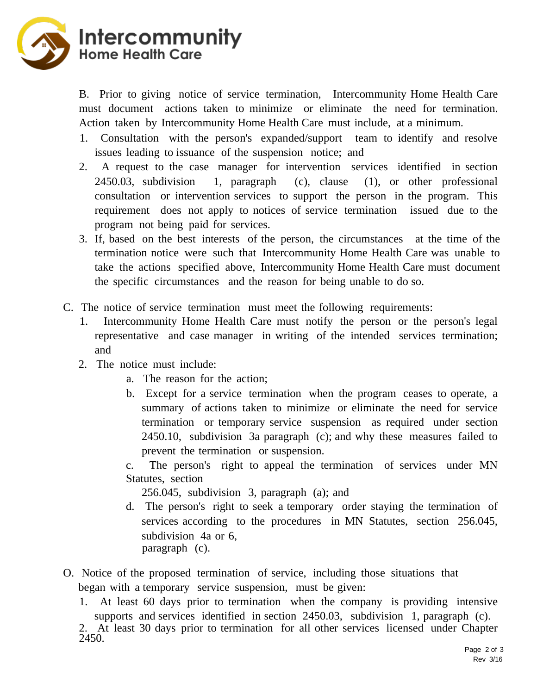

B. Prior to giving notice of service termination, Intercommunity Home Health Care must document actions taken to minimize or eliminate the need for termination. Action taken by Intercommunity Home Health Care must include, at a minimum.

- 1. Consultation with the person's expanded/support team to identify and resolve issues leading to issuance of the suspension notice; and
- 2. A request to the case manager for intervention services identified in section 2450.03, subdivision 1, paragraph (c), clause (1), or other professional consultation or intervention services to support the person in the program. This requirement does not apply to notices of service termination issued due to the program not being paid for services.
- 3. If, based on the best interests of the person, the circumstances at the time of the termination notice were such that Intercommunity Home Health Care was unable to take the actions specified above, Intercommunity Home Health Care must document the specific circumstances and the reason for being unable to do so.
- C. The notice of service termination must meet the following requirements:
	- 1. Intercommunity Home Health Care must notify the person or the person's legal representative and case manager in writing of the intended services termination; and
	- 2. The notice must include:
		- a. The reason for the action;
		- b. Except for a service termination when the program ceases to operate, a summary of actions taken to minimize or eliminate the need for service termination or temporary service suspension as required under section 2450.10, subdivision 3a paragraph (c); and why these measures failed to prevent the termination or suspension.
		- c. The person's right to appeal the termination of services under MN Statutes, section

256.045, subdivision 3, paragraph (a); and

- d. The person's right to seek a temporary order staying the termination of services according to the procedures in MN Statutes, section 256.045, subdivision 4a or 6, paragraph (c).
- O. Notice of the proposed termination of service, including those situations that began with a temporary service suspension, must be given:
	- 1. At least 60 days prior to termination when the company is providing intensive supports and services identified in section 2450.03, subdivision 1, paragraph (c).

2. At least 30 days prior to termination for all other services licensed under Chapter 2450.